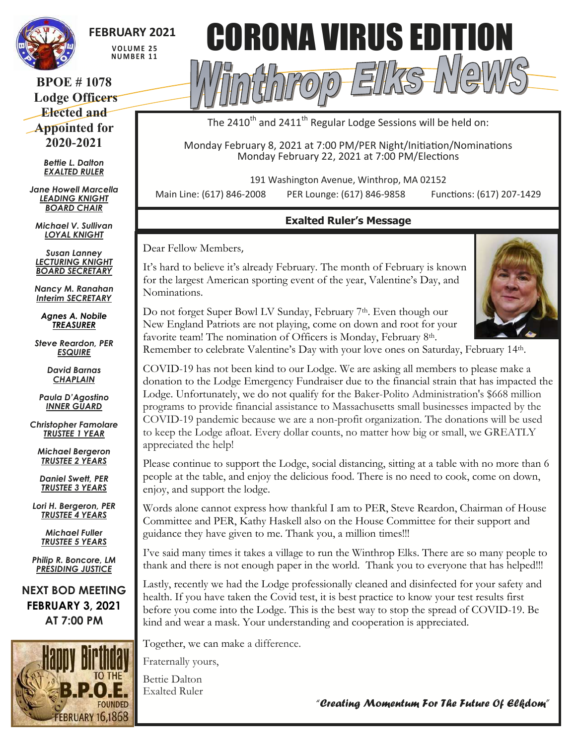

# **FEBRUARY 2021**

**V O LU M E 2 5 NU M B E R 1 1**

## **BPOE # 1078 Lodge Officers Elected and Appointed for 2020-2021**

*Bettie L. Dalton EXALTED RULER*

*Jane Howell Marcella LEADING KNIGHT BOARD CHAIR*

*Michael V. Sullivan LOYAL KNIGHT*

*Susan Lanney LECTURING KNIGHT BOARD SECRETARY*

*Nancy M. Ranahan Interim SECRETARY*

*Agnes A. Nobile TREASURER*

*Steve Reardon, PER ESQUIRE*

> *David Barnas CHAPLAIN*

*Paula D'Agostino INNER GUARD*

*Christopher Famolare TRUSTEE 1 YEAR*

*Michael Bergeron TRUSTEE 2 YEARS*

*Daniel Swett, PER TRUSTEE 3 YEARS*

*Lori H. Bergeron, PER TRUSTEE 4 YEARS*

> *Michael Fuller TRUSTEE 5 YEARS*

*Philip R. Boncore, LM PRESIDING JUSTICE*

**NEXT BOD MEETING FEBRUARY 3, 2021 AT 7:00 PM**





The 2410<sup>th</sup> and 2411<sup>th</sup> Regular Lodge Sessions will be held on:

Monday February 8, 2021 at 7:00 PM/PER Night/Initiation/Nominations Monday February 22, 2021 at 7:00 PM/Elections

191 Washington Avenue, Winthrop, MA 02152

Main Line: (617) 846-2008 PER Lounge: (617) 846-9858 Functions: (617) 207-1429

# **Exalted Ruler's Message**

Dear Fellow Members,

It's hard to believe it's already February. The month of February is known for the largest American sporting event of the year, Valentine's Day, and Nominations.



Do not forget Super Bowl LV Sunday, February 7<sup>th</sup>. Even though our New England Patriots are not playing, come on down and root for your favorite team! The nomination of Officers is Monday, February 8th.

Remember to celebrate Valentine's Day with your love ones on Saturday, February 14th.

COVID-19 has not been kind to our Lodge. We are asking all members to please make a donation to the Lodge Emergency Fundraiser due to the financial strain that has impacted the Lodge. Unfortunately, we do not qualify for the Baker-Polito Administration's \$668 million programs to provide financial assistance to Massachusetts small businesses impacted by the COVID-19 pandemic because we are a non-profit organization. The donations will be used to keep the Lodge afloat. Every dollar counts, no matter how big or small, we GREATLY appreciated the help!

Please continue to support the Lodge, social distancing, sitting at a table with no more than 6 people at the table, and enjoy the delicious food. There is no need to cook, come on down, enjoy, and support the lodge.

Words alone cannot express how thankful I am to PER, Steve Reardon, Chairman of House Committee and PER, Kathy Haskell also on the House Committee for their support and guidance they have given to me. Thank you, a million times!!!

I've said many times it takes a village to run the Winthrop Elks. There are so many people to thank and there is not enough paper in the world. Thank you to everyone that has helped!!!

Lastly, recently we had the Lodge professionally cleaned and disinfected for your safety and health. If you have taken the Covid test, it is best practice to know your test results first before you come into the Lodge. This is the best way to stop the spread of COVID-19. Be kind and wear a mask. Your understanding and cooperation is appreciated.

Together, we can make a difference.

Fraternally yours,

Bettie Dalton Exalted Ruler

*"Creating Momentum For The Future Of Elkdom"*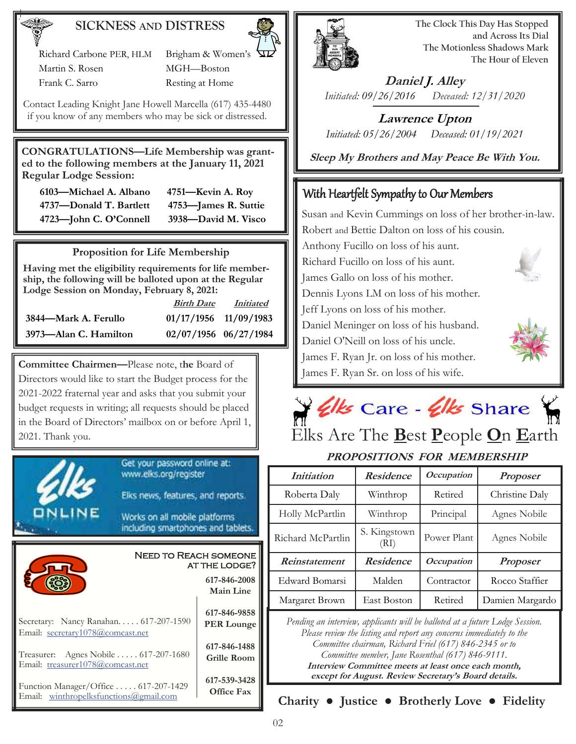### **SICKNESS AND DISTRESS**

 Richard Carbone PER, HLM Brigham & Women's Martin S. Rosen MGH—Boston

Frank C. Sarro Resting at Home

Contact Leading Knight Jane Howell Marcella (617) 435-4480 if you know of any members who may be sick or distressed.

**CONGRATULATIONS—Life Membership was granted to the following members at the January 11, 2021 Regular Lodge Session:** 

| 6103—Michael A. Albano  | $4751 -$ |
|-------------------------|----------|
| 4737—Donald T. Bartlett | 4753-    |
| 4723-John C. O'Connell  | -3938-   |

 **6103—Michael A. Albano 4751—Kevin A. Roy 4737—Donald T. Bartlett 4753—James R. Suttie 4723—John C. O'Connell 3938—David M. Visco** 

#### **Proposition for Life Membership**

**Having met the eligibility requirements for life membership, the following will be balloted upon at the Regular Lodge Session on Monday, February 8, 2021:**

|                       | <b>Birth Date</b>       | <i>Initiated</i> |
|-----------------------|-------------------------|------------------|
| 3844—Mark A. Ferullo  | $01/17/1956$ 11/09/1983 |                  |
| 3973—Alan C. Hamilton | 02/07/1956 06/27/1984   |                  |

**Committee Chairmen—**Please note, t**he** Board of Directors would like to start the Budget process for the 2021-2022 fraternal year and asks that you submit your budget requests in writing; all requests should be placed in the Board of Directors' mailbox on or before April 1, 2021. Thank you. Elks Are The **B**est **P**eople **O**n **E**arth





**The Clock This Day Has Stopped and Across Its Dial The Motionless Shadows Mark The Hour of Eleven**

**Daniel J. Alley** *Initiated: 09/26/2016 Deceased: 12/31/2020*

**Lawrence Upton** *Initiated: 05/26/2004 Deceased: 01/19/2021*

**Sleep My Brothers and May Peace Be With You.**

# With Heartfelt Sympathy to Our Members

Susan and Kevin Cummings on loss of her brother-in-law. Robert and Bettie Dalton on loss of his cousin. Anthony Fucillo on loss of his aunt. Richard Fucillo on loss of his aunt. James Gallo on loss of his mother. Dennis Lyons LM on loss of his mother. Jeff Lyons on loss of his mother. Daniel Meninger on loss of his husband. Daniel O'Neill on loss of his uncle. James F. Ryan Jr. on loss of his mother. James F. Ryan Sr. on loss of his wife.



# **PROPOSITIONS FOR MEMBERSHIP**

| PRUPUSLIJUNS FUR MEMBERSHIP |                      |                   |                 |
|-----------------------------|----------------------|-------------------|-----------------|
| <i>Initiation</i>           | <b>Residence</b>     | <b>Occupation</b> | <b>Proposer</b> |
| Roberta Daly                | Winthrop             | Retired           | Christine Daly  |
| Holly McPartlin             | Winthrop             | Principal         | Agnes Nobile    |
| Richard McPartlin           | S. Kingstown<br>(RI) | Power Plant       | Agnes Nobile    |
| Reinstatement               | <b>Residence</b>     | <i>Occupation</i> | <b>Proposer</b> |
| Edward Bomarsi              | Malden               | Contractor        | Rocco Staffier  |
| Margaret Brown              | East Boston          | Retired           | Damien Margardo |

*Pending an interview, applicants will be balloted at a future Lodge Session. Please review the listing and report any concerns immediately to the Committee chairman, Richard Friel (617) 846-2345 or to Committee member, Jane Rosenthal (617) 846-9111.* **Interview Committee meets at least once each month, except for August. Review Secretary's Board details.**

**Charity ● Justice ● Brotherly Love ● Fidelity**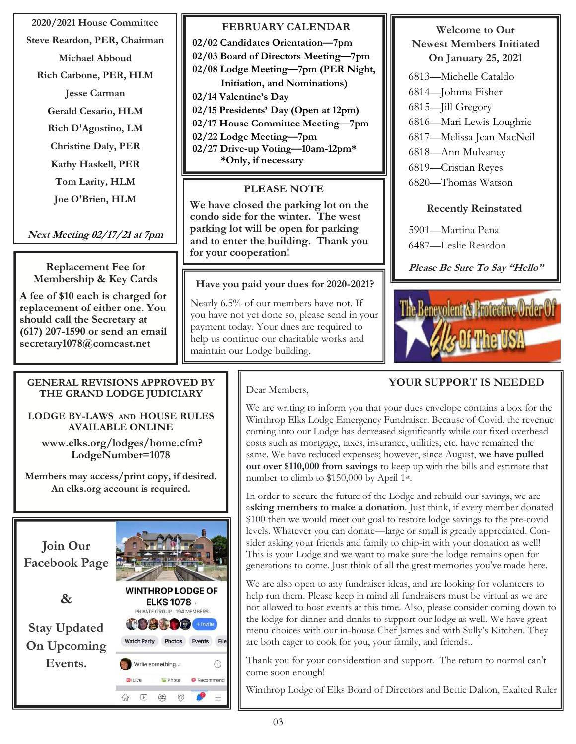**2020/2021 House Committee**

**Steve Reardon, PER, Chairman**

**Michael Abboud Rich Carbone, PER, HLM Jesse Carman Gerald Cesario, HLM Rich D'Agostino, LM Christine Daly, PER Kathy Haskell, PER Tom Larity, HLM Joe O'Brien, HLM**

# **Next Meeting 02/17/21 at 7pm**

**Replacement Fee for Membership & Key Cards**

**A fee of \$10 each is charged for replacement of either one. You should call the Secretary at (617) 207-1590 or send an email secretary1078@comcast.net** 

#### **GENERAL REVISIONS APPROVED BY THE GRAND LODGE JUDICIARY**

**LODGE BY-LAWS AND HOUSE RULES AVAILABLE ONLINE**

**www.elks.org/lodges/home.cfm? LodgeNumber=1078**

**Members may access/print copy, if desired. An elks.org account is required.**



### **FEBRUARY CALENDAR**

**02/02 Candidates Orientation—7pm 02/03 Board of Directors Meeting—7pm 02/08 Lodge Meeting—7pm (PER Night, Initiation, and Nominations) 02/14 Valentine's Day 02/15 Presidents' Day (Open at 12pm) 02/17 House Committee Meeting—7pm 02/22 Lodge Meeting—7pm 02/27 Drive-up Voting—10am-12pm\***

 **\*Only, if necessary**

### **PLEASE NOTE**

**We have closed the parking lot on the condo side for the winter. The west parking lot will be open for parking and to enter the building. Thank you for your cooperation!**

#### **Have you paid your dues for 2020-2021?**

Nearly 6.5% of our members have not. If you have not yet done so, please send in your payment today. Your dues are required to help us continue our charitable works and maintain our Lodge building.

#### **Welcome to Our Newest Members Initiated On January 25, 2021**

- 6813—Michelle Cataldo
- 6814—Johnna Fisher
- 6815—Jill Gregory
- 6816—Mari Lewis Loughrie
- 6817—Melissa Jean MacNeil
- 6818—Ann Mulvaney
- 6819—Cristian Reyes
- 6820—Thomas Watson

#### **Recently Reinstated**

5901—Martina Pena

6487—Leslie Reardon

**Please Be Sure To Say "Hello"**



# **YOUR SUPPORT IS NEEDED**

#### Dear Members,

We are writing to inform you that your dues envelope contains a box for the Winthrop Elks Lodge Emergency Fundraiser. Because of Covid, the revenue coming into our Lodge has decreased significantly while our fixed overhead costs such as mortgage, taxes, insurance, utilities, etc. have remained the same. We have reduced expenses; however, since August, **we have pulled out over \$110,000 from savings** to keep up with the bills and estimate that number to climb to \$150,000 by April 1st.

In order to secure the future of the Lodge and rebuild our savings, we are a**sking members to make a donation**. Just think, if every member donated \$100 then we would meet our goal to restore lodge savings to the pre-covid levels. Whatever you can donate—large or small is greatly appreciated. Consider asking your friends and family to chip-in with your donation as well! This is your Lodge and we want to make sure the lodge remains open for generations to come. Just think of all the great memories you've made here.

We are also open to any fundraiser ideas, and are looking for volunteers to help run them. Please keep in mind all fundraisers must be virtual as we are not allowed to host events at this time. Also, please consider coming down to the lodge for dinner and drinks to support our lodge as well. We have great menu choices with our in-house Chef James and with Sully's Kitchen. They are both eager to cook for you, your family, and friends..

Thank you for your consideration and support. The return to normal can't come soon enough!

Winthrop Lodge of Elks Board of Directors and Bettie Dalton, Exalted Ruler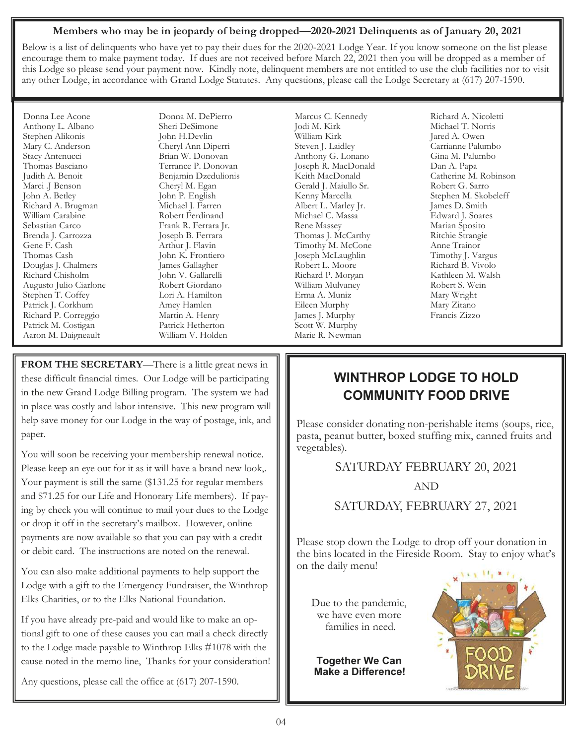#### **Members who may be in jeopardy of being dropped—2020-2021 Delinquents as of January 20, 2021**

Below is a list of delinquents who have yet to pay their dues for the 2020-2021 Lodge Year. If you know someone on the list please encourage them to make payment today. If dues are not received before March 22, 2021 then you will be dropped as a member of this Lodge so please send your payment now. Kindly note, delinquent members are not entitled to use the club facilities nor to visit any other Lodge, in accordance with Grand Lodge Statutes. Any questions, please call the Lodge Secretary at (617) 207-1590.

Donna Lee Acone Anthony L. Albano Stephen Alikonis Mary C. Anderson Stacy Antenucci Thomas Basciano Judith A. Benoit Marci .J Benson John A. Betley Richard A. Brugman William Carabine Sebastian Carco Brenda J. Carrozza Gene F. Cash Thomas Cash Douglas J. Chalmers Richard Chisholm Augusto Julio Ciarlone Stephen T. Coffey Patrick J. Corkhum Richard P. Correggio Patrick M. Costigan Aaron M. Daigneault

Donna M. DePierro Sheri DeSimone John H.Devlin Cheryl Ann Diperri Brian W. Donovan Terrance P. Donovan Benjamin Dzedulionis Cheryl M. Egan John P. English Michael J. Farren Robert Ferdinand Frank R. Ferrara Jr. Joseph B. Ferrara Arthur J. Flavin John K. Frontiero James Gallagher John V. Gallarelli Robert Giordano Lori A. Hamilton Amey Hamlen Martin A. Henry Patrick Hetherton William V. Holden

**FROM THE SECRETARY**—There is a little great news in these difficult financial times. Our Lodge will be participating in the new Grand Lodge Billing program. The system we had in place was costly and labor intensive. This new program will help save money for our Lodge in the way of postage, ink, and paper.

You will soon be receiving your membership renewal notice. Please keep an eye out for it as it will have a brand new look,. Your payment is still the same (\$131.25 for regular members and \$71.25 for our Life and Honorary Life members). If paying by check you will continue to mail your dues to the Lodge or drop it off in the secretary's mailbox. However, online payments are now available so that you can pay with a credit or debit card. The instructions are noted on the renewal.

You can also make additional payments to help support the Lodge with a gift to the Emergency Fundraiser, the Winthrop Elks Charities, or to the Elks National Foundation.

If you have already pre-paid and would like to make an optional gift to one of these causes you can mail a check directly to the Lodge made payable to Winthrop Elks #1078 with the cause noted in the memo line, Thanks for your consideration!

Any questions, please call the office at (617) 207-1590.

Marcus C. Kennedy Jodi M. Kirk William Kirk Steven J. Laidley Anthony G. Lonano Joseph R. MacDonald Keith MacDonald Gerald J. Maiullo Sr. Kenny Marcella Albert L. Marley Jr. Michael C. Massa Rene Massey Thomas J. McCarthy Timothy M. McCone Joseph McLaughlin Robert L. Moore Richard P. Morgan William Mulvaney Erma A. Muniz Eileen Murphy James J. Murphy Scott W. Murphy Marie R. Newman

Richard A. Nicoletti Michael T. Norris Jared A. Owen Carrianne Palumbo Gina M. Palumbo Dan A. Papa Catherine M. Robinson Robert G. Sarro Stephen M. Skobeleff James D. Smith Edward J. Soares Marian Sposito Ritchie Strangie Anne Trainor Timothy J. Vargus Richard B. Vivolo Kathleen M. Walsh Robert S. Wein Mary Wright Mary Zitano Francis Zizzo

# **WINTHROP LODGE TO HOLD COMMUNITY FOOD DRIVE**

Please consider donating non-perishable items (soups, rice, pasta, peanut butter, boxed stuffing mix, canned fruits and vegetables).

SATURDAY FEBRUARY 20, 2021

AND

SATURDAY, FEBRUARY 27, 2021

Please stop down the Lodge to drop off your donation in the bins located in the Fireside Room. Stay to enjoy what's on the daily menu!

Due to the pandemic, we have even more families in need.

**Together We Can Make a Difference!**

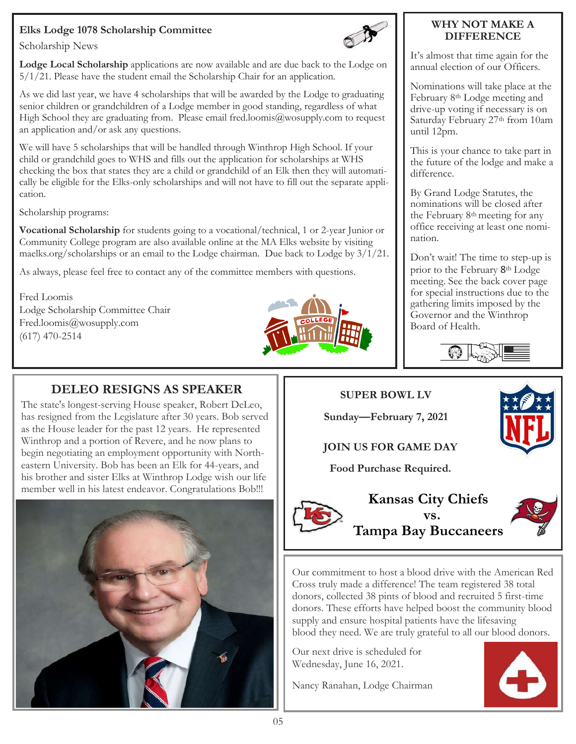# **Elks Lodge 1078 Scholarship Committee**



Scholarship News

**Lodge Local Scholarship** applications are now available and are due back to the Lodge on 5/1/21. Please have the student email the Scholarship Chair for an application.

As we did last year, we have 4 scholarships that will be awarded by the Lodge to graduating senior children or grandchildren of a Lodge member in good standing, regardless of what High School they are graduating from. Please email fred.loomis $@$ wosupply.com to request an application and/or ask any questions.

We will have 5 scholarships that will be handled through Winthrop High School. If your child or grandchild goes to WHS and fills out the application for scholarships at WHS checking the box that states they are a child or grandchild of an Elk then they will automatically be eligible for the Elks-only scholarships and will not have to fill out the separate application.

Scholarship programs:

**Vocational Scholarship** for students going to a vocational/technical, 1 or 2-year Junior or Community College program are also available online at the MA Elks website by visiting maelks.org/scholarships or an email to the Lodge chairman. Due back to Lodge by 3/1/21.

As always, please feel free to contact any of the committee members with questions.

Fred Loomis Lodge Scholarship Committee Chair Fred.loomis@wosupply.com (617) 470-2514



#### **WHY NOT MAKE A DIFFERENCE**

It's almost that time again for the annual election of our Officers.

Nominations will take place at the February 8th Lodge meeting and drive-up voting if necessary is on Saturday February 27th from 10am until 12pm.

This is your chance to take part in the future of the lodge and make a difference.

By Grand Lodge Statutes, the nominations will be closed after the February 8th meeting for any office receiving at least one nomination.

Don't wait! The time to step-up is prior to the February 8<sup>th</sup> Lodge meeting. See the back cover page for special instructions due to the gathering limits imposed by the Governor and the Winthrop Board of Health.



# **DELEO RESIGNS AS SPEAKER**

The state's longest-serving House speaker, Robert DeLeo, has resigned from the Legislature after 30 years. Bob served as the House leader for the past 12 years. He represented Winthrop and a portion of Revere, and he now plans to begin negotiating an employment opportunity with Northeastern University. Bob has been an Elk for 44-years, and his brother and sister Elks at Winthrop Lodge wish our life member well in his latest endeavor. Congratulations Bob!!!



**SUPER BOWL LV**

**Sunday—February 7, 2021**

# **JOIN US FOR GAME DAY**

**Food Purchase Required.** 





Our commitment to host a blood drive with the American Red Cross truly made a difference! The team registered 38 total donors, collected 38 pints of blood and recruited 5 first-time donors. These efforts have helped boost the community blood supply and ensure hospital patients have the lifesaving blood they need. We are truly grateful to all our blood donors.

Our next drive is scheduled for Wednesday, June 16, 2021.

Nancy Ranahan, Lodge Chairman

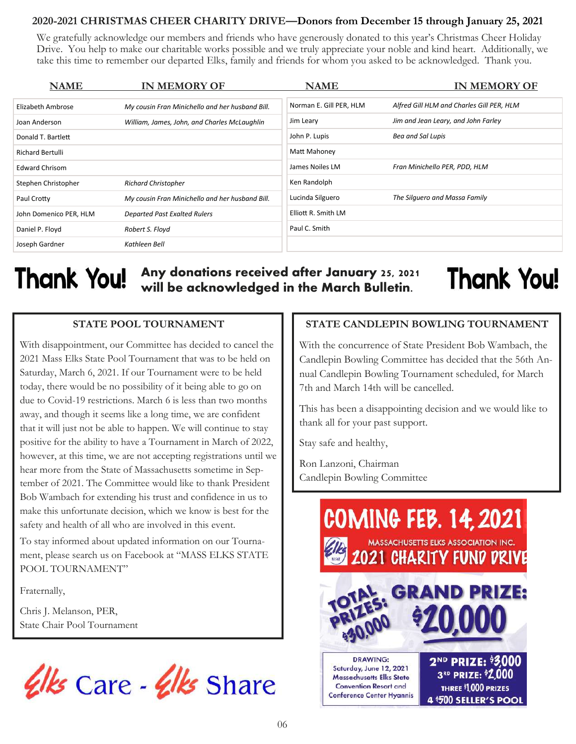#### **2020-2021 CHRISTMAS CHEER CHARITY DRIVE—Donors from December 15 through January 25, 2021**

We gratefully acknowledge our members and friends who have generously donated to this year's Christmas Cheer Holiday Drive. You help to make our charitable works possible and we truly appreciate your noble and kind heart. Additionally, we take this time to remember our departed Elks, family and friends for whom you asked to be acknowledged. Thank you.

| <b>NAME</b>             | <b>IN MEMORY OF</b>                             | <b>NAME</b>             | <b>IN MEMORY OF</b>                       |
|-------------------------|-------------------------------------------------|-------------------------|-------------------------------------------|
| Elizabeth Ambrose       | My cousin Fran Minichello and her husband Bill. | Norman E. Gill PER, HLM | Alfred Gill HLM and Charles Gill PER, HLM |
| Joan Anderson           | William, James, John, and Charles McLaughlin    | Jim Leary               | Jim and Jean Leary, and John Farley       |
| Donald T. Bartlett      |                                                 | John P. Lupis           | Bea and Sal Lupis                         |
| <b>Richard Bertulli</b> |                                                 | Matt Mahoney            |                                           |
| <b>Edward Chrisom</b>   |                                                 | James Noiles LM         | Fran Minichello PER, PDD, HLM             |
| Stephen Christopher     | <b>Richard Christopher</b>                      | Ken Randolph            |                                           |
| Paul Crotty             | My cousin Fran Minichello and her husband Bill. | Lucinda Silguero        | The Silguero and Massa Family             |
| John Domenico PER, HLM  | <b>Departed Past Exalted Rulers</b>             | Elliott R. Smith LM     |                                           |
| Daniel P. Floyd         | Robert S. Floyd                                 | Paul C. Smith           |                                           |
| Joseph Gardner          | Kathleen Bell                                   |                         |                                           |

# Thank You!

# **Any donations received after January 25, 2021 will be acknowledged in the March Bulletin.**

# **Thank You!**

### **STATE POOL TOURNAMENT**

With disappointment, our Committee has decided to cancel the 2021 Mass Elks State Pool Tournament that was to be held on Saturday, March 6, 2021. If our Tournament were to be held today, there would be no possibility of it being able to go on due to Covid-19 restrictions. March 6 is less than two months away, and though it seems like a long time, we are confident that it will just not be able to happen. We will continue to stay positive for the ability to have a Tournament in March of 2022, however, at this time, we are not accepting registrations until we hear more from the State of Massachusetts sometime in September of 2021. The Committee would like to thank President Bob Wambach for extending his trust and confidence in us to make this unfortunate decision, which we know is best for the safety and health of all who are involved in this event.

To stay informed about updated information on our Tournament, please search us on Facebook at "MASS ELKS STATE POOL TOURNAMENT"

Fraternally,

Chris J. Melanson, PER, State Chair Pool Tournament



# **STATE CANDLEPIN BOWLING TOURNAMENT**

With the concurrence of State President Bob Wambach, the Candlepin Bowling Committee has decided that the 56th Annual Candlepin Bowling Tournament scheduled, for March 7th and March 14th will be cancelled.

This has been a disappointing decision and we would like to thank all for your past support.

Stay safe and healthy,

Ron Lanzoni, Chairman Candlepin Bowling Committee

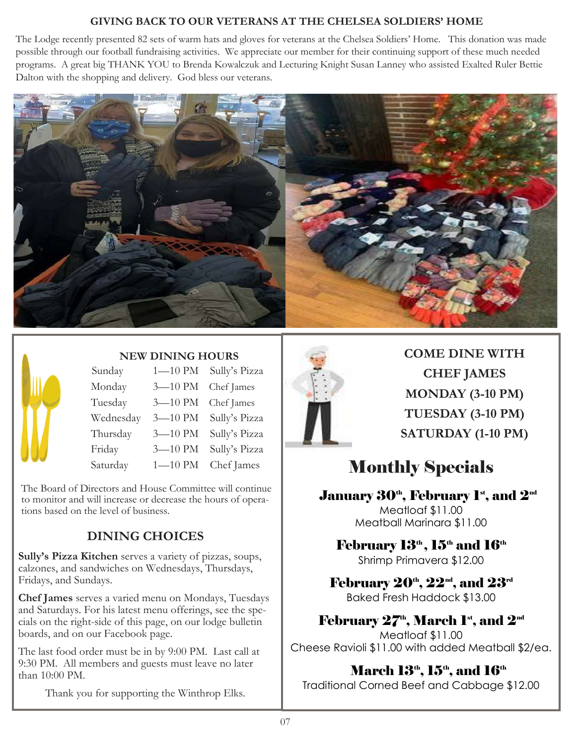### **GIVING BACK TO OUR VETERANS AT THE CHELSEA SOLDIERS' HOME**

The Lodge recently presented 82 sets of warm hats and gloves for veterans at the Chelsea Soldiers' Home. This donation was made possible through our football fundraising activities. We appreciate our member for their continuing support of these much needed programs. A great big THANK YOU to Brenda Kowalczuk and Lecturing Knight Susan Lanney who assisted Exalted Ruler Bettie Dalton with the shopping and delivery. God bless our veterans.





### **NEW DINING HOURS**

| Sunday    | $1 - 10$ PM | Sully's Pizza |
|-----------|-------------|---------------|
| Monday    | $3 - 10$ PM | Chef James    |
| Tuesday   | $3 - 10$ PM | Chef James    |
| Wednesday | $3 - 10$ PM | Sully's Pizza |
| Thursday  | $3 - 10$ PM | Sully's Pizza |
| Friday    | 3-10 PM     | Sully's Pizza |
| Saturday  | $1 - 10$ PM | Chef James    |

The Board of Directors and House Committee will continue to monitor and will increase or decrease the hours of operations based on the level of business.

# **DINING CHOICES**

**Sully's Pizza Kitchen** serves a variety of pizzas, soups, calzones, and sandwiches on Wednesdays, Thursdays, Fridays, and Sundays.

**Chef James** serves a varied menu on Mondays, Tuesdays and Saturdays. For his latest menu offerings, see the specials on the right-side of this page, on our lodge bulletin boards, and on our Facebook page.

The last food order must be in by 9:00 PM. Last call at 9:30 PM. All members and guests must leave no later than 10:00 PM.

Thank you for supporting the Winthrop Elks.



**COME DINE WITH CHEF JAMES MONDAY (3-10 PM) TUESDAY (3-10 PM) SATURDAY (1-10 PM)** 

# Monthly Specials

# January  $30<sup>th</sup>$ , February 1<sup>st</sup>, and  $2<sup>nd</sup>$

Meatloaf \$11.00 Meatball Marinara \$11.00

February 13<sup>th</sup>, 15<sup>th</sup> and 16<sup>th</sup> Shrimp Primavera \$12.00

February  $20^{\text{th}}$ ,  $22^{\text{nd}}$ , and  $23^{\text{rd}}$ Baked Fresh Haddock \$13.00

# February  $27<sup>th</sup>$ , March 1<sup>st</sup>, and  $2<sup>nd</sup>$

Meatloaf \$11.00 Cheese Ravioli \$11.00 with added Meatball \$2/ea.

# March  $13<sup>th</sup>$ ,  $15<sup>th</sup>$ , and  $16<sup>th</sup>$

Traditional Corned Beef and Cabbage \$12.00